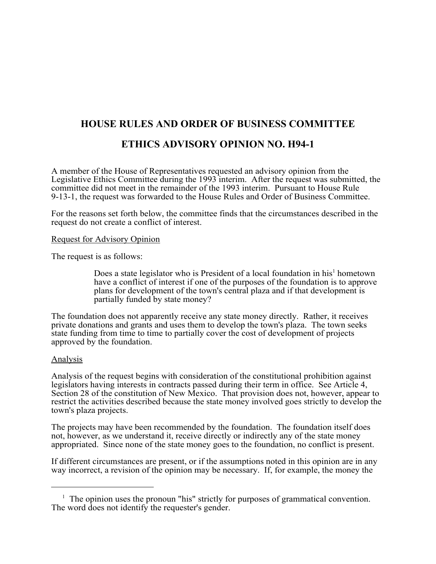## **HOUSE RULES AND ORDER OF BUSINESS COMMITTEE**

## **ETHICS ADVISORY OPINION NO. H94-1**

A member of the House of Representatives requested an advisory opinion from the Legislative Ethics Committee during the 1993 interim. After the request was submitted, the committee did not meet in the remainder of the 1993 interim. Pursuant to House Rule 9-13-1, the request was forwarded to the House Rules and Order of Business Committee.

For the reasons set forth below, the committee finds that the circumstances described in the request do not create a conflict of interest.

## Request for Advisory Opinion

The request is as follows:

Does a state legislator who is President of a local foundation in his<sup>1</sup> hometown have a conflict of interest if one of the purposes of the foundation is to approve plans for development of the town's central plaza and if that development is partially funded by state money?

The foundation does not apparently receive any state money directly. Rather, it receives private donations and grants and uses them to develop the town's plaza. The town seeks state funding from time to time to partially cover the cost of development of projects approved by the foundation.

## Analysis

Analysis of the request begins with consideration of the constitutional prohibition against legislators having interests in contracts passed during their term in office. See Article 4, Section 28 of the constitution of New Mexico. That provision does not, however, appear to restrict the activities described because the state money involved goes strictly to develop the town's plaza projects.

The projects may have been recommended by the foundation. The foundation itself does not, however, as we understand it, receive directly or indirectly any of the state money appropriated. Since none of the state money goes to the foundation, no conflict is present.

If different circumstances are present, or if the assumptions noted in this opinion are in any way incorrect, a revision of the opinion may be necessary. If, for example, the money the

<sup>&</sup>lt;sup>1</sup> The opinion uses the pronoun "his" strictly for purposes of grammatical convention. The word does not identify the requester's gender.